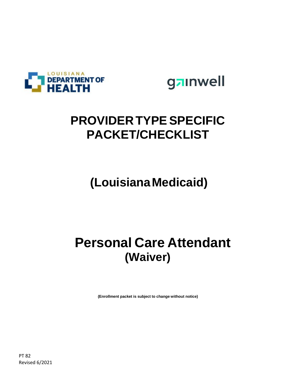

gainwell

### **PROVIDER TYPE SPECIFIC PACKET/CHECKLIST**

## **(LouisianaMedicaid)**

## **Personal Care Attendant (Waiver)**

**(Enrollment packet is subject to change without notice)**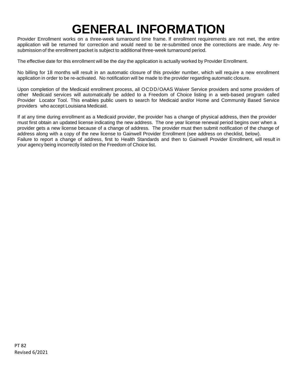## **GENERAL INFORMATION**

Provider Enrollment works on a three-week turnaround time frame. If enrollment requirements are not met, the entire application will be returned for correction and would need to be re-submitted once the corrections are made. Any resubmission of the enrollment packet is subject to additional three-week turnaround period.

The effective date for this enrollment will be the day the application is actually worked by Provider Enrollment.

No billing for 18 months will result in an automatic closure of this provider number, which will require a new enrollment application in order to be re-activated. No notification will be made to the provider regarding automatic closure.

Upon completion of the Medicaid enrollment process, all OCDD/OAAS Waiver Service providers and some providers of other Medicaid services will automatically be added to a Freedom of Choice listing in a web-based program called Provider Locator Tool. This enables public users to search for Medicaid and/or Home and Community Based Service providers who accept Louisiana Medicaid.

If at any time during enrollment as a Medicaid provider, the provider has a change of physical address, then the provider must first obtain an updated license indicating the new address. The one year license renewal period begins over when a provider gets a new license because of a change of address. The provider must then submit notification of the change of address along with a copy of the new license to Gainwell Provider Enrollment (see address on checklist, below). Failure to report a change of address, first to Health Standards and then to Gainwell Provider Enrollment, will result in your agency being incorrectly listed on the Freedom of Choice list.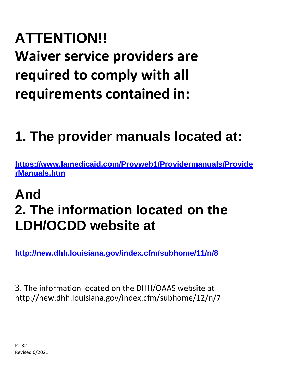# **ATTENTION!! Waiver service providers are required to comply with all requirements contained in:**

## **1. The provider manuals located at:**

**[https://www.lamedicaid.com/Provweb1/Providermanuals/Provide](https://www.lamedicaid.com/Provweb1/Providermanuals/ProviderManuals.htm) [rManuals.htm](https://www.lamedicaid.com/Provweb1/Providermanuals/ProviderManuals.htm)**

## **And 2. The information located on the LDH/OCDD website at**

**<http://new.dhh.louisiana.gov/index.cfm/subhome/11/n/8>**

3. The information located on the DHH/OAAS website at http://new.dhh.louisiana.gov/index.cfm/subhome/12/n/7